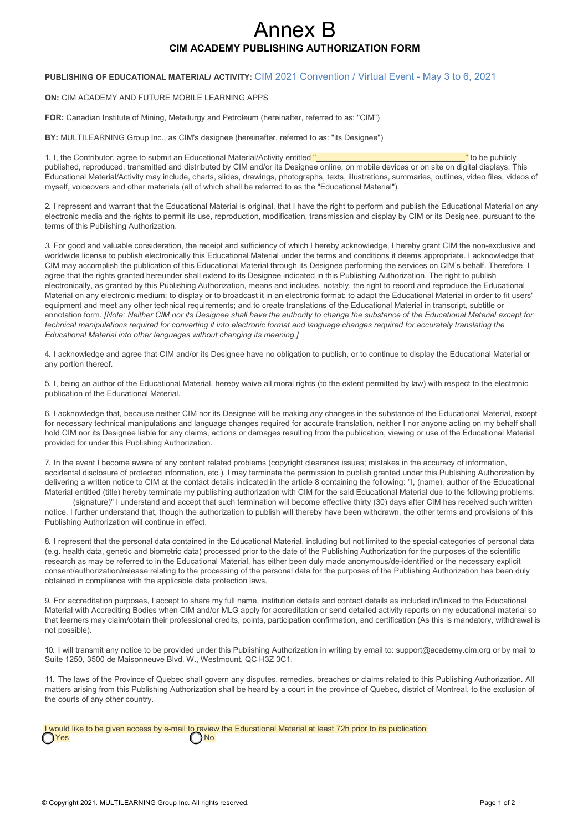# Annex B **CIM ACADEMY PUBLISHING AUTHORIZATION FORM**

### **PUBLISHING OF EDUCATIONAL MATERIAL/ ACTIVITY:** CIM 2021 Convention / Virtual Event - May 3 to 6, 2021

#### **ON:** CIM ACADEMY AND FUTURE MOBILE LEARNING APPS

**FOR:** Canadian Institute of Mining, Metallurgy and Petroleum (hereinafter, referred to as: "CIM")

**BY:** MULTILEARNING Group Inc., as CIM's designee (hereinafter, referred to as: "its Designee")

1. I, the Contributor, agree to submit an Educational Material/Activity entitled " The Contributor of the publicly published, reproduced, transmitted and distributed by CIM and/or its Designee online, on mobile devices or on site on digital displays. This Educational Material/Activity may include, charts, slides, drawings, photographs, texts, illustrations, summaries, outlines, video files, videos of myself, voiceovers and other materials (all of which shall be referred to as the "Educational Material").

2. I represent and warrant that the Educational Material is original, that I have the right to perform and publish the Educational Material on any electronic media and the rights to permit its use, reproduction, modification, transmission and display by CIM or its Designee, pursuant to the terms of this Publishing Authorization.

*3.* For good and valuable consideration, the receipt and sufficiency of which I hereby acknowledge, I hereby grant CIM the non-exclusive and worldwide license to publish electronically this Educational Material under the terms and conditions it deems appropriate. I acknowledge that CIM may accomplish the publication of this Educational Material through its Designee performing the services on CIM's behalf. Therefore, I agree that the rights granted hereunder shall extend to its Designee indicated in this Publishing Authorization. The right to publish electronically, as granted by this Publishing Authorization, means and includes, notably, the right to record and reproduce the Educational Material on any electronic medium; to display or to broadcast it in an electronic format; to adapt the Educational Material in order to fit users' equipment and meet any other technical requirements; and to create translations of the Educational Material in transcript, subtitle or annotation form. *[Note: Neither CIM nor its Designee shall have the authority to change the substance of the Educational Material except for technical manipulations required for converting it into electronic format and language changes required for accurately translating the Educational Material into other languages without changing its meaning.]*

4. I acknowledge and agree that CIM and/or its Designee have no obligation to publish, or to continue to display the Educational Material or any portion thereof.

5. I, being an author of the Educational Material, hereby waive all moral rights (to the extent permitted by law) with respect to the electronic publication of the Educational Material.

6. I acknowledge that, because neither CIM nor its Designee will be making any changes in the substance of the Educational Material, except for necessary technical manipulations and language changes required for accurate translation, neither I nor anyone acting on my behalf shall hold CIM nor its Designee liable for any claims, actions or damages resulting from the publication, viewing or use of the Educational Material provided for under this Publishing Authorization.

7. In the event I become aware of any content related problems (copyright clearance issues; mistakes in the accuracy of information, accidental disclosure of protected information, etc.), I may terminate the permission to publish granted under this Publishing Authorization by delivering a written notice to CIM at the contact details indicated in the article 8 containing the following: "I, (name), author of the Educational Material entitled (title) hereby terminate my publishing authorization with CIM for the said Educational Material due to the following problems: (signature)" I understand and accept that such termination will become effective thirty (30) days after CIM has received such written notice. I further understand that, though the authorization to publish will thereby have been withdrawn, the other terms and provisions of this Publishing Authorization will continue in effect.

8. I represent that the personal data contained in the Educational Material, including but not limited to the special categories of personal data (e.g. health data, genetic and biometric data) processed prior to the date of the Publishing Authorization for the purposes of the scientific research as may be referred to in the Educational Material, has either been duly made anonymous/de-identified or the necessary explicit consent/authorization/release relating to the processing of the personal data for the purposes of the Publishing Authorization has been duly obtained in compliance with the applicable data protection laws.

9. For accreditation purposes, I accept to share my full name, institution details and contact details as included in/linked to the Educational Material with Accrediting Bodies when CIM and/or MLG apply for accreditation or send detailed activity reports on my educational material so that learners may claim/obtain their professional credits, points, participation confirmation, and certification (As this is mandatory, withdrawal is not possible).

10. [I will transmit any notice to be provided under this Publishing Authorization in writing by email to: support@academy.cim.org](mailto:support@academy.cim.org) or by mail to Suite 1250, 3500 de Maisonneuve Blvd. W., Westmount, QC H3Z 3C1.

11. The laws of the Province of Quebec shall govern any disputes, remedies, breaches or claims related to this Publishing Authorization. All matters arising from this Publishing Authorization shall be heard by a court in the province of Quebec, district of Montreal, to the exclusion of the courts of any other country.

|                  | I would like to be given access by e-mail to review the Educational Material at least 72h prior to its publication |  |
|------------------|--------------------------------------------------------------------------------------------------------------------|--|
| O <sub>Yes</sub> | $\bigcap$ No                                                                                                       |  |